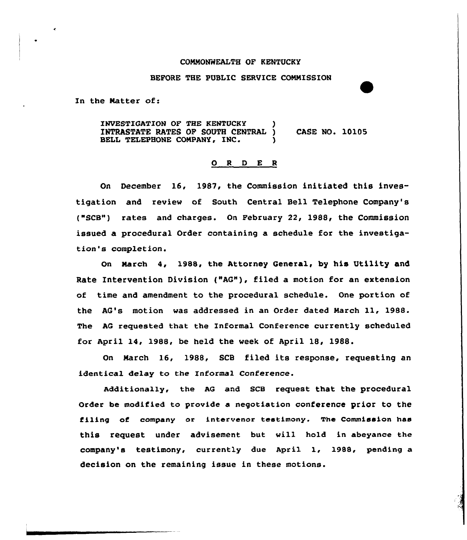## COMMONWEALTH OF KENTUCKY

## BEFORE THE PUBLIC SERVICE CONNISSION

In the Natter of:

INVESTIGATION OF THE KENTUCKY INTRASTATE RATES OF SOUTH CENTRAL ) BELL TELEPHONE COMPANY, INC.

CASE NO. 10105

## O R D E R

On December 16, 1987, the Commission initiated this investigation and review of South Central Bell Telephone Company's ("SCB") rates and charges. On February 22, 1988, the Commission issued a procedural Order containing a schedule for the investigation's completion.

On March 4, 1988, the Attorney General, by his Utility and Rate Intervention Division {"AG"), filed a motion for an extension of time and amendment to the procedural schedule. One portion of the AG's motion was addressed in an Order dated March ll, 1988. The AQ requested that the Informal Conference currently scheduled for April 14, 1988, be held the week of April 18, 1988.

On Narch 16, 1988, SCB filed its response, requesting an identical delay to the Informal Conference.

Additionally, the AG and SCB request that the procedural Order be modified to provide a negotiation conference prior to the filing of company or intervenor testimony. The Commission has this request under advisement but vill hold in abeyance the company's testimony, currently due April 1, 1988, pending a decision on the remaining issue in these motions.